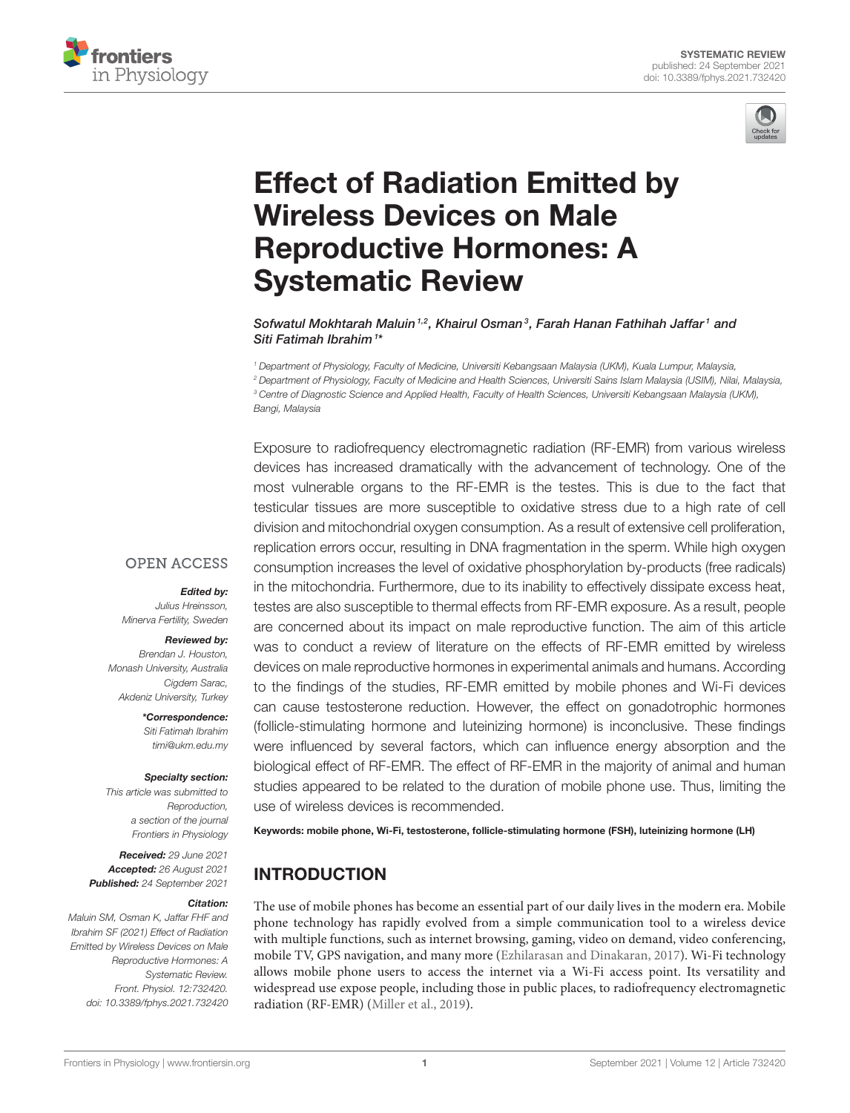



# [Effect of Radiation Emitted by](https://www.frontiersin.org/articles/10.3389/fphys.2021.732420/full) Wireless Devices on Male Reproductive Hormones: A Systematic Review

Sofwatul Mokhtarah Maluin <sup>1,2</sup>, Khairul Osman<sup>3</sup>, Farah Hanan Fathihah Jaffar <sup>1</sup> and Siti Fatimah Ibrahim<sup>1\*</sup>

 *Department of Physiology, Faculty of Medicine, Universiti Kebangsaan Malaysia (UKM), Kuala Lumpur, Malaysia, Department of Physiology, Faculty of Medicine and Health Sciences, Universiti Sains Islam Malaysia (USIM), Nilai, Malaysia, Centre of Diagnostic Science and Applied Health, Faculty of Health Sciences, Universiti Kebangsaan Malaysia (UKM), Bangi, Malaysia*

Exposure to radiofrequency electromagnetic radiation (RF-EMR) from various wireless devices has increased dramatically with the advancement of technology. One of the most vulnerable organs to the RF-EMR is the testes. This is due to the fact that testicular tissues are more susceptible to oxidative stress due to a high rate of cell division and mitochondrial oxygen consumption. As a result of extensive cell proliferation, replication errors occur, resulting in DNA fragmentation in the sperm. While high oxygen consumption increases the level of oxidative phosphorylation by-products (free radicals) in the mitochondria. Furthermore, due to its inability to effectively dissipate excess heat, testes are also susceptible to thermal effects from RF-EMR exposure. As a result, people are concerned about its impact on male reproductive function. The aim of this article was to conduct a review of literature on the effects of RF-EMR emitted by wireless devices on male reproductive hormones in experimental animals and humans. According to the findings of the studies, RF-EMR emitted by mobile phones and Wi-Fi devices can cause testosterone reduction. However, the effect on gonadotrophic hormones (follicle-stimulating hormone and luteinizing hormone) is inconclusive. These findings were influenced by several factors, which can influence energy absorption and the biological effect of RF-EMR. The effect of RF-EMR in the majority of animal and human studies appeared to be related to the duration of mobile phone use. Thus, limiting the use of wireless devices is recommended.

Keywords: mobile phone, Wi-Fi, testosterone, follicle-stimulating hormone (FSH), luteinizing hormone (LH)

# INTRODUCTION

The use of mobile phones has become an essential part of our daily lives in the modern era. Mobile phone technology has rapidly evolved from a simple communication tool to a wireless device with multiple functions, such as internet browsing, gaming, video on demand, video conferencing, mobile TV, GPS navigation, and many more [\(Ezhilarasan and Dinakaran, 2017\)](#page-5-0). Wi-Fi technology allows mobile phone users to access the internet via a Wi-Fi access point. Its versatility and widespread use expose people, including those in public places, to radiofrequency electromagnetic radiation (RF-EMR) [\(Miller et al., 2019\)](#page-6-0).

#### **OPEN ACCESS**

Edited by:

*Julius Hreinsson, Minerva Fertility, Sweden*

#### Reviewed by:

*Brendan J. Houston, Monash University, Australia Cigdem Sarac, Akdeniz University, Turkey*

> \*Correspondence: *Siti Fatimah Ibrahim [timi@ukm.edu.my](mailto:timi@ukm.edu.my)*

#### Specialty section:

*This article was submitted to Reproduction, a section of the journal Frontiers in Physiology*

Received: *29 June 2021* Accepted: *26 August 2021* Published: *24 September 2021*

#### Citation:

*Maluin SM, Osman K, Jaffar FHF and Ibrahim SF (2021) Effect of Radiation Emitted by Wireless Devices on Male Reproductive Hormones: A Systematic Review. Front. Physiol. 12:732420. doi: [10.3389/fphys.2021.732420](https://doi.org/10.3389/fphys.2021.732420)*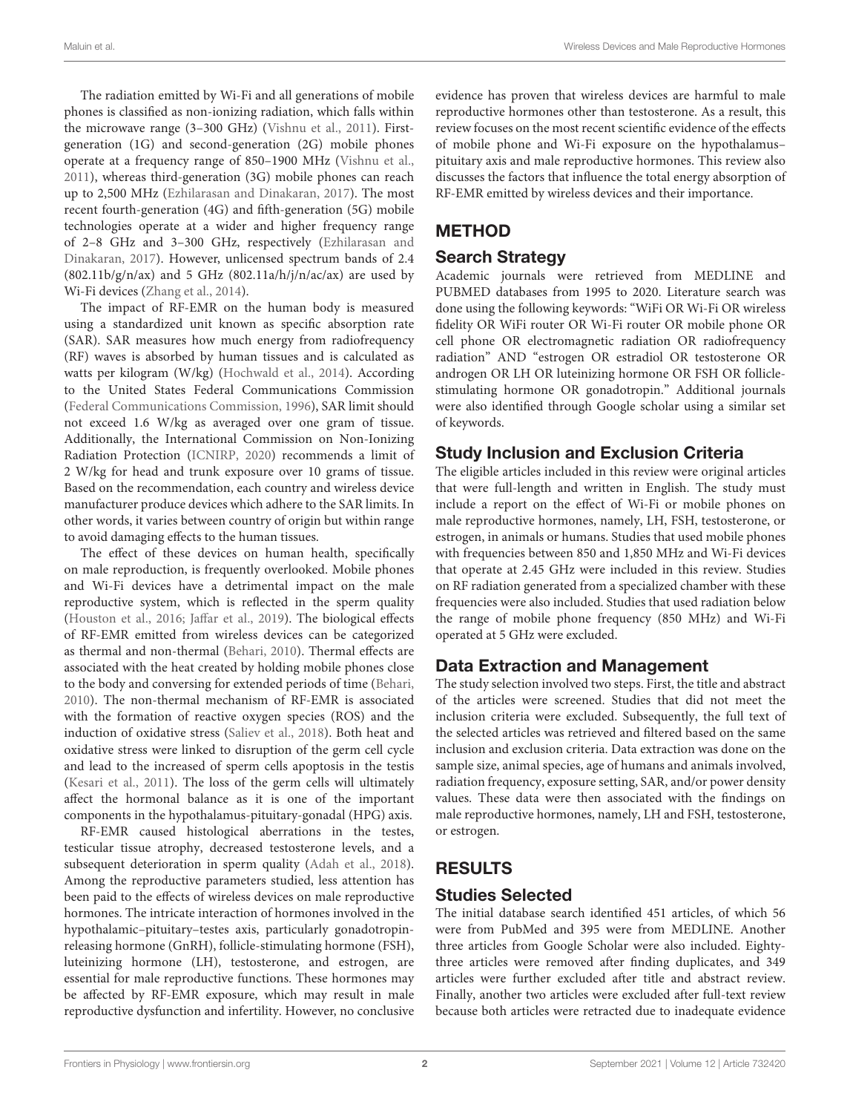The radiation emitted by Wi-Fi and all generations of mobile phones is classified as non-ionizing radiation, which falls within the microwave range (3–300 GHz) [\(Vishnu et al., 2011\)](#page-6-1). Firstgeneration (1G) and second-generation (2G) mobile phones operate at a frequency range of 850–1900 MHz [\(Vishnu et al.,](#page-6-1) [2011\)](#page-6-1), whereas third-generation (3G) mobile phones can reach up to 2,500 MHz [\(Ezhilarasan and Dinakaran, 2017\)](#page-5-0). The most recent fourth-generation (4G) and fifth-generation (5G) mobile technologies operate at a wider and higher frequency range of 2–8 GHz and 3–300 GHz, respectively (Ezhilarasan and Dinakaran, [2017\)](#page-5-0). However, unlicensed spectrum bands of 2.4  $(802.11b/g/n/ax)$  and 5 GHz  $(802.11a/h/j/n/ac/ax)$  are used by Wi-Fi devices [\(Zhang et al., 2014\)](#page-6-2).

The impact of RF-EMR on the human body is measured using a standardized unit known as specific absorption rate (SAR). SAR measures how much energy from radiofrequency (RF) waves is absorbed by human tissues and is calculated as watts per kilogram (W/kg) [\(Hochwald et al., 2014\)](#page-6-3). According to the United States Federal Communications Commission [\(Federal Communications Commission, 1996\)](#page-5-1), SAR limit should not exceed 1.6 W/kg as averaged over one gram of tissue. Additionally, the International Commission on Non-Ionizing Radiation Protection [\(ICNIRP, 2020\)](#page-6-4) recommends a limit of 2 W/kg for head and trunk exposure over 10 grams of tissue. Based on the recommendation, each country and wireless device manufacturer produce devices which adhere to the SAR limits. In other words, it varies between country of origin but within range to avoid damaging effects to the human tissues.

The effect of these devices on human health, specifically on male reproduction, is frequently overlooked. Mobile phones and Wi-Fi devices have a detrimental impact on the male reproductive system, which is reflected in the sperm quality [\(Houston et al., 2016;](#page-6-5) [Jaffar et al., 2019\)](#page-6-6). The biological effects of RF-EMR emitted from wireless devices can be categorized as thermal and non-thermal [\(Behari, 2010\)](#page-5-2). Thermal effects are associated with the heat created by holding mobile phones close to the body and conversing for extended periods of time [\(Behari,](#page-5-2) [2010\)](#page-5-2). The non-thermal mechanism of RF-EMR is associated with the formation of reactive oxygen species (ROS) and the induction of oxidative stress [\(Saliev et al., 2018\)](#page-6-7). Both heat and oxidative stress were linked to disruption of the germ cell cycle and lead to the increased of sperm cells apoptosis in the testis [\(Kesari et al., 2011\)](#page-6-8). The loss of the germ cells will ultimately affect the hormonal balance as it is one of the important components in the hypothalamus-pituitary-gonadal (HPG) axis.

RF-EMR caused histological aberrations in the testes, testicular tissue atrophy, decreased testosterone levels, and a subsequent deterioration in sperm quality [\(Adah et al., 2018\)](#page-5-3). Among the reproductive parameters studied, less attention has been paid to the effects of wireless devices on male reproductive hormones. The intricate interaction of hormones involved in the hypothalamic–pituitary–testes axis, particularly gonadotropinreleasing hormone (GnRH), follicle-stimulating hormone (FSH), luteinizing hormone (LH), testosterone, and estrogen, are essential for male reproductive functions. These hormones may be affected by RF-EMR exposure, which may result in male reproductive dysfunction and infertility. However, no conclusive evidence has proven that wireless devices are harmful to male reproductive hormones other than testosterone. As a result, this review focuses on the most recent scientific evidence of the effects of mobile phone and Wi-Fi exposure on the hypothalamus– pituitary axis and male reproductive hormones. This review also discusses the factors that influence the total energy absorption of RF-EMR emitted by wireless devices and their importance.

# METHOD

# Search Strategy

Academic journals were retrieved from MEDLINE and PUBMED databases from 1995 to 2020. Literature search was done using the following keywords: "WiFi OR Wi-Fi OR wireless fidelity OR WiFi router OR Wi-Fi router OR mobile phone OR cell phone OR electromagnetic radiation OR radiofrequency radiation" AND "estrogen OR estradiol OR testosterone OR androgen OR LH OR luteinizing hormone OR FSH OR folliclestimulating hormone OR gonadotropin." Additional journals were also identified through Google scholar using a similar set of keywords.

# Study Inclusion and Exclusion Criteria

The eligible articles included in this review were original articles that were full-length and written in English. The study must include a report on the effect of Wi-Fi or mobile phones on male reproductive hormones, namely, LH, FSH, testosterone, or estrogen, in animals or humans. Studies that used mobile phones with frequencies between 850 and 1,850 MHz and Wi-Fi devices that operate at 2.45 GHz were included in this review. Studies on RF radiation generated from a specialized chamber with these frequencies were also included. Studies that used radiation below the range of mobile phone frequency (850 MHz) and Wi-Fi operated at 5 GHz were excluded.

# Data Extraction and Management

The study selection involved two steps. First, the title and abstract of the articles were screened. Studies that did not meet the inclusion criteria were excluded. Subsequently, the full text of the selected articles was retrieved and filtered based on the same inclusion and exclusion criteria. Data extraction was done on the sample size, animal species, age of humans and animals involved, radiation frequency, exposure setting, SAR, and/or power density values. These data were then associated with the findings on male reproductive hormones, namely, LH and FSH, testosterone, or estrogen.

# RESULTS

# Studies Selected

The initial database search identified 451 articles, of which 56 were from PubMed and 395 were from MEDLINE. Another three articles from Google Scholar were also included. Eightythree articles were removed after finding duplicates, and 349 articles were further excluded after title and abstract review. Finally, another two articles were excluded after full-text review because both articles were retracted due to inadequate evidence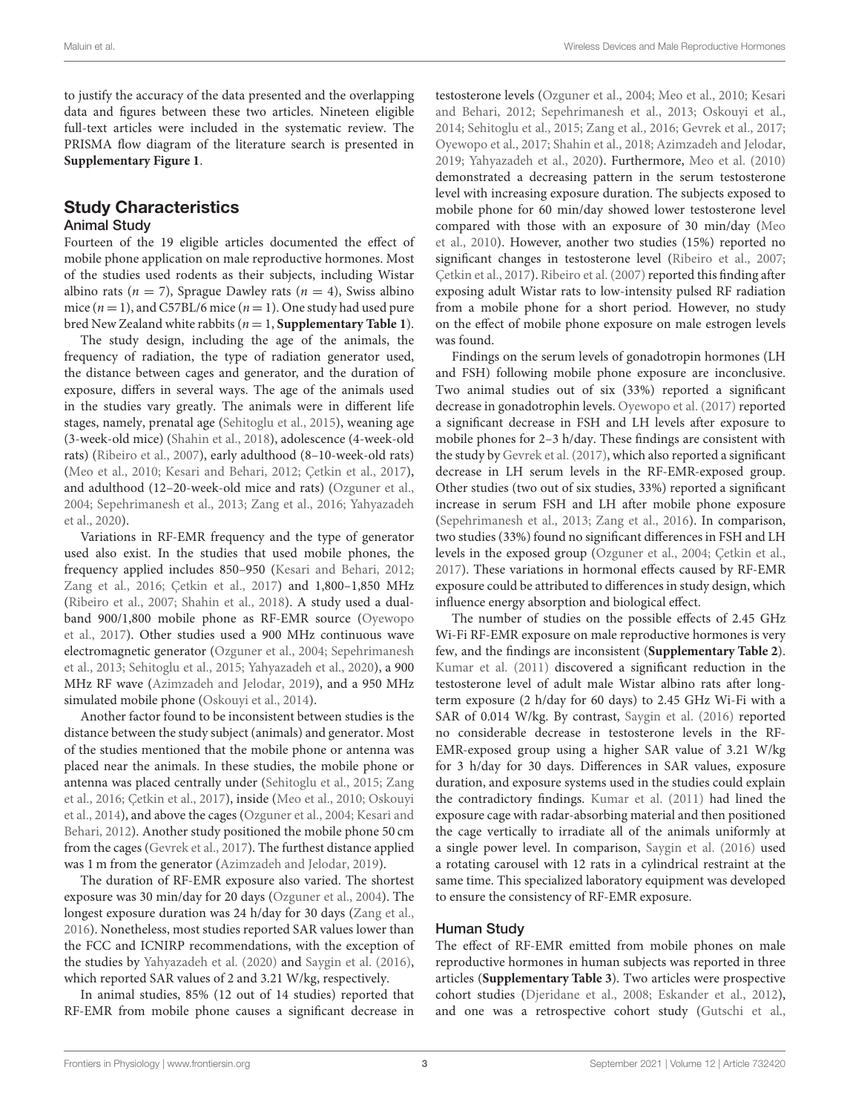to justify the accuracy of the data presented and the overlapping data and figures between these two articles. Nineteen eligible full-text articles were included in the systematic review. The PRISMA flow diagram of the literature search is presented in **[Supplementary Figure 1](#page-5-4)**.

### Study Characteristics

#### Animal Study

Fourteen of the 19 eligible articles documented the effect of mobile phone application on male reproductive hormones. Most of the studies used rodents as their subjects, including Wistar albino rats ( $n = 7$ ), Sprague Dawley rats ( $n = 4$ ), Swiss albino mice  $(n = 1)$ , and C57BL/6 mice  $(n = 1)$ . One study had used pure bred New Zealand white rabbits  $(n = 1,$  **[Supplementary Table 1](#page-5-4)**).

The study design, including the age of the animals, the frequency of radiation, the type of radiation generator used, the distance between cages and generator, and the duration of exposure, differs in several ways. The age of the animals used in the studies vary greatly. The animals were in different life stages, namely, prenatal age [\(Sehitoglu et al., 2015\)](#page-6-9), weaning age (3-week-old mice) [\(Shahin et al., 2018\)](#page-6-10), adolescence (4-week-old rats) [\(Ribeiro et al., 2007\)](#page-6-11), early adulthood (8–10-week-old rats) [\(Meo et al., 2010;](#page-6-12) [Kesari and Behari, 2012;](#page-6-13) [Çetkin et al., 2017\)](#page-5-5), and adulthood (12–20-week-old mice and rats) [\(Ozguner et al.,](#page-6-14) [2004;](#page-6-14) [Sepehrimanesh et al., 2013;](#page-6-15) [Zang et al., 2016;](#page-6-16) Yahyazadeh et al., [2020\)](#page-6-17).

Variations in RF-EMR frequency and the type of generator used also exist. In the studies that used mobile phones, the frequency applied includes 850–950 [\(Kesari and Behari, 2012;](#page-6-13) [Zang et al., 2016;](#page-6-16) [Çetkin et al., 2017\)](#page-5-5) and 1,800–1,850 MHz [\(Ribeiro et al., 2007;](#page-6-11) [Shahin et al., 2018\)](#page-6-10). A study used a dualband 900/1,800 mobile phone as RF-EMR source (Oyewopo et al., [2017\)](#page-6-18). Other studies used a 900 MHz continuous wave electromagnetic generator [\(Ozguner et al., 2004;](#page-6-14) Sepehrimanesh et al., [2013;](#page-6-15) [Sehitoglu et al., 2015;](#page-6-9) [Yahyazadeh et al., 2020\)](#page-6-17), a 900 MHz RF wave [\(Azimzadeh and Jelodar, 2019\)](#page-5-6), and a 950 MHz simulated mobile phone [\(Oskouyi et al., 2014\)](#page-6-19).

Another factor found to be inconsistent between studies is the distance between the study subject (animals) and generator. Most of the studies mentioned that the mobile phone or antenna was placed near the animals. In these studies, the mobile phone or antenna was placed centrally under [\(Sehitoglu et al., 2015;](#page-6-9) Zang et al., [2016;](#page-6-16) [Çetkin et al., 2017\)](#page-5-5), inside [\(Meo et al., 2010;](#page-6-12) Oskouyi et al., [2014\)](#page-6-19), and above the cages [\(Ozguner et al., 2004;](#page-6-14) Kesari and Behari, [2012\)](#page-6-13). Another study positioned the mobile phone 50 cm from the cages [\(Gevrek et al., 2017\)](#page-6-20). The furthest distance applied was 1 m from the generator [\(Azimzadeh and Jelodar, 2019\)](#page-5-6).

The duration of RF-EMR exposure also varied. The shortest exposure was 30 min/day for 20 days [\(Ozguner et al., 2004\)](#page-6-14). The longest exposure duration was 24 h/day for 30 days [\(Zang et al.,](#page-6-16) [2016\)](#page-6-16). Nonetheless, most studies reported SAR values lower than the FCC and ICNIRP recommendations, with the exception of the studies by [Yahyazadeh et al. \(2020\)](#page-6-17) and [Saygin et al. \(2016\)](#page-6-21), which reported SAR values of 2 and 3.21 W/kg, respectively.

In animal studies, 85% (12 out of 14 studies) reported that RF-EMR from mobile phone causes a significant decrease in testosterone levels [\(Ozguner et al., 2004;](#page-6-14) [Meo et al., 2010;](#page-6-12) Kesari and Behari, [2012;](#page-6-13) [Sepehrimanesh et al., 2013;](#page-6-15) [Oskouyi et al.,](#page-6-19) [2014;](#page-6-19) [Sehitoglu et al., 2015;](#page-6-9) [Zang et al., 2016;](#page-6-16) [Gevrek et al., 2017;](#page-6-20) [Oyewopo et al., 2017;](#page-6-18) [Shahin et al., 2018;](#page-6-10) [Azimzadeh and Jelodar,](#page-5-6) [2019;](#page-5-6) [Yahyazadeh et al., 2020\)](#page-6-17). Furthermore, [Meo et al. \(2010\)](#page-6-12) demonstrated a decreasing pattern in the serum testosterone level with increasing exposure duration. The subjects exposed to mobile phone for 60 min/day showed lower testosterone level compared with those with an exposure of 30 min/day (Meo et al., [2010\)](#page-6-12). However, another two studies (15%) reported no significant changes in testosterone level [\(Ribeiro et al., 2007;](#page-6-11) [Çetkin et al., 2017\)](#page-5-5). [Ribeiro et al. \(2007\)](#page-6-11) reported this finding after exposing adult Wistar rats to low-intensity pulsed RF radiation from a mobile phone for a short period. However, no study on the effect of mobile phone exposure on male estrogen levels was found.

Findings on the serum levels of gonadotropin hormones (LH and FSH) following mobile phone exposure are inconclusive. Two animal studies out of six (33%) reported a significant decrease in gonadotrophin levels. [Oyewopo et al. \(2017\)](#page-6-18) reported a significant decrease in FSH and LH levels after exposure to mobile phones for 2–3 h/day. These findings are consistent with the study by [Gevrek et al. \(2017\)](#page-6-20), which also reported a significant decrease in LH serum levels in the RF-EMR-exposed group. Other studies (two out of six studies, 33%) reported a significant increase in serum FSH and LH after mobile phone exposure [\(Sepehrimanesh et al., 2013;](#page-6-15) [Zang et al., 2016\)](#page-6-16). In comparison, two studies (33%) found no significant differences in FSH and LH levels in the exposed group [\(Ozguner et al., 2004;](#page-6-14) [Çetkin et al.,](#page-5-5) [2017\)](#page-5-5). These variations in hormonal effects caused by RF-EMR exposure could be attributed to differences in study design, which influence energy absorption and biological effect.

The number of studies on the possible effects of 2.45 GHz Wi-Fi RF-EMR exposure on male reproductive hormones is very few, and the findings are inconsistent (**[Supplementary Table 2](#page-5-4)**). [Kumar et al. \(2011\)](#page-6-22) discovered a significant reduction in the testosterone level of adult male Wistar albino rats after longterm exposure (2 h/day for 60 days) to 2.45 GHz Wi-Fi with a SAR of 0.014 W/kg. By contrast, [Saygin et al. \(2016\)](#page-6-21) reported no considerable decrease in testosterone levels in the RF-EMR-exposed group using a higher SAR value of 3.21 W/kg for 3 h/day for 30 days. Differences in SAR values, exposure duration, and exposure systems used in the studies could explain the contradictory findings. [Kumar et al. \(2011\)](#page-6-22) had lined the exposure cage with radar-absorbing material and then positioned the cage vertically to irradiate all of the animals uniformly at a single power level. In comparison, [Saygin et al. \(2016\)](#page-6-21) used a rotating carousel with 12 rats in a cylindrical restraint at the same time. This specialized laboratory equipment was developed to ensure the consistency of RF-EMR exposure.

#### Human Study

The effect of RF-EMR emitted from mobile phones on male reproductive hormones in human subjects was reported in three articles (**[Supplementary Table 3](#page-5-4)**). Two articles were prospective cohort studies [\(Djeridane et al., 2008;](#page-5-7) [Eskander et al., 2012\)](#page-5-8), and one was a retrospective cohort study [\(Gutschi et al.,](#page-6-23)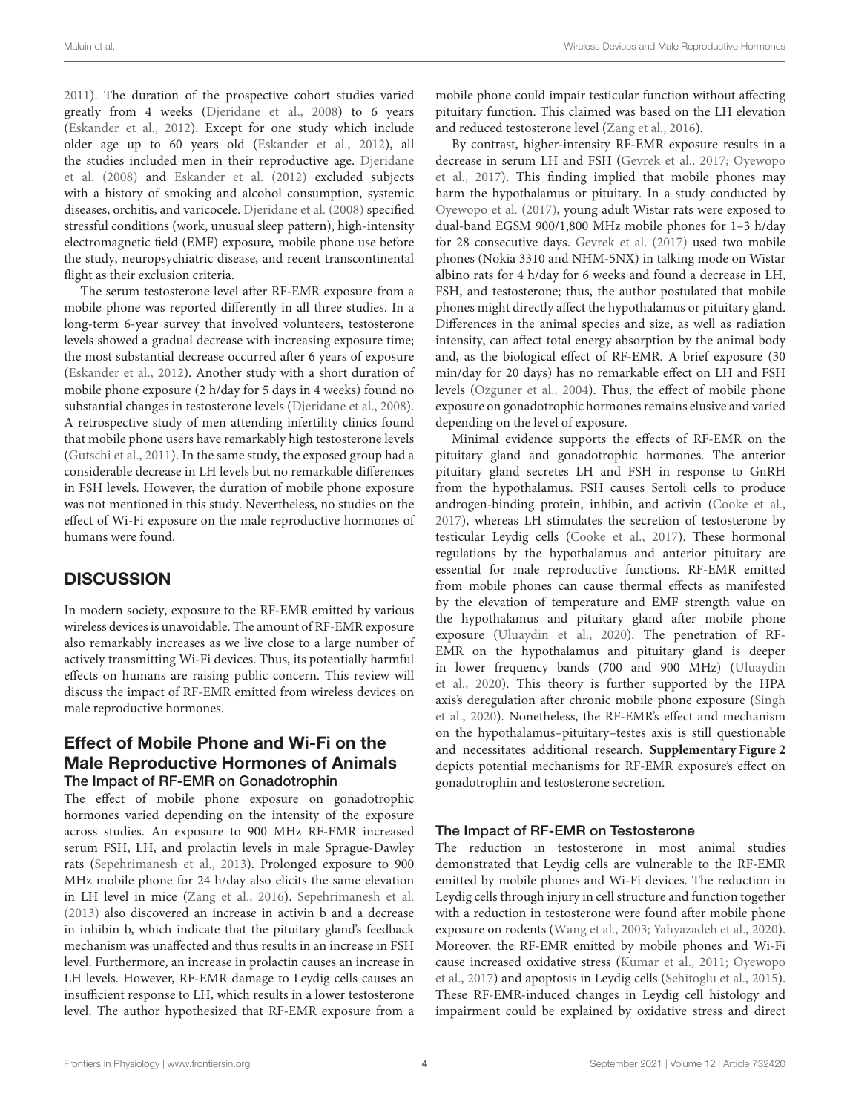[2011\)](#page-6-23). The duration of the prospective cohort studies varied greatly from 4 weeks [\(Djeridane et al., 2008\)](#page-5-7) to 6 years [\(Eskander et al., 2012\)](#page-5-8). Except for one study which include older age up to 60 years old [\(Eskander et al., 2012\)](#page-5-8), all the studies included men in their reproductive age. Djeridane et al. [\(2008\)](#page-5-7) and [Eskander et al. \(2012\)](#page-5-8) excluded subjects with a history of smoking and alcohol consumption, systemic diseases, orchitis, and varicocele. [Djeridane et al. \(2008\)](#page-5-7) specified stressful conditions (work, unusual sleep pattern), high-intensity electromagnetic field (EMF) exposure, mobile phone use before the study, neuropsychiatric disease, and recent transcontinental flight as their exclusion criteria.

The serum testosterone level after RF-EMR exposure from a mobile phone was reported differently in all three studies. In a long-term 6-year survey that involved volunteers, testosterone levels showed a gradual decrease with increasing exposure time; the most substantial decrease occurred after 6 years of exposure [\(Eskander et al., 2012\)](#page-5-8). Another study with a short duration of mobile phone exposure (2 h/day for 5 days in 4 weeks) found no substantial changes in testosterone levels [\(Djeridane et al., 2008\)](#page-5-7). A retrospective study of men attending infertility clinics found that mobile phone users have remarkably high testosterone levels [\(Gutschi et al., 2011\)](#page-6-23). In the same study, the exposed group had a considerable decrease in LH levels but no remarkable differences in FSH levels. However, the duration of mobile phone exposure was not mentioned in this study. Nevertheless, no studies on the effect of Wi-Fi exposure on the male reproductive hormones of humans were found.

# **DISCUSSION**

In modern society, exposure to the RF-EMR emitted by various wireless devices is unavoidable. The amount of RF-EMR exposure also remarkably increases as we live close to a large number of actively transmitting Wi-Fi devices. Thus, its potentially harmful effects on humans are raising public concern. This review will discuss the impact of RF-EMR emitted from wireless devices on male reproductive hormones.

### Effect of Mobile Phone and Wi-Fi on the Male Reproductive Hormones of Animals The Impact of RF-EMR on Gonadotrophin

The effect of mobile phone exposure on gonadotrophic hormones varied depending on the intensity of the exposure across studies. An exposure to 900 MHz RF-EMR increased serum FSH, LH, and prolactin levels in male Sprague-Dawley rats [\(Sepehrimanesh et al., 2013\)](#page-6-15). Prolonged exposure to 900 MHz mobile phone for 24 h/day also elicits the same elevation in LH level in mice [\(Zang et al., 2016\)](#page-6-16). [Sepehrimanesh et al.](#page-6-15) [\(2013\)](#page-6-15) also discovered an increase in activin b and a decrease in inhibin b, which indicate that the pituitary gland's feedback mechanism was unaffected and thus results in an increase in FSH level. Furthermore, an increase in prolactin causes an increase in LH levels. However, RF-EMR damage to Leydig cells causes an insufficient response to LH, which results in a lower testosterone level. The author hypothesized that RF-EMR exposure from a

mobile phone could impair testicular function without affecting pituitary function. This claimed was based on the LH elevation and reduced testosterone level [\(Zang et al., 2016\)](#page-6-16).

By contrast, higher-intensity RF-EMR exposure results in a decrease in serum LH and FSH [\(Gevrek et al., 2017;](#page-6-20) Oyewopo et al., [2017\)](#page-6-18). This finding implied that mobile phones may harm the hypothalamus or pituitary. In a study conducted by [Oyewopo et al. \(2017\)](#page-6-18), young adult Wistar rats were exposed to dual-band EGSM 900/1,800 MHz mobile phones for 1–3 h/day for 28 consecutive days. [Gevrek et al. \(2017\)](#page-6-20) used two mobile phones (Nokia 3310 and NHM-5NX) in talking mode on Wistar albino rats for 4 h/day for 6 weeks and found a decrease in LH, FSH, and testosterone; thus, the author postulated that mobile phones might directly affect the hypothalamus or pituitary gland. Differences in the animal species and size, as well as radiation intensity, can affect total energy absorption by the animal body and, as the biological effect of RF-EMR. A brief exposure (30 min/day for 20 days) has no remarkable effect on LH and FSH levels [\(Ozguner et al., 2004\)](#page-6-14). Thus, the effect of mobile phone exposure on gonadotrophic hormones remains elusive and varied depending on the level of exposure.

Minimal evidence supports the effects of RF-EMR on the pituitary gland and gonadotrophic hormones. The anterior pituitary gland secretes LH and FSH in response to GnRH from the hypothalamus. FSH causes Sertoli cells to produce androgen-binding protein, inhibin, and activin [\(Cooke et al.,](#page-5-9) [2017\)](#page-5-9), whereas LH stimulates the secretion of testosterone by testicular Leydig cells [\(Cooke et al., 2017\)](#page-5-9). These hormonal regulations by the hypothalamus and anterior pituitary are essential for male reproductive functions. RF-EMR emitted from mobile phones can cause thermal effects as manifested by the elevation of temperature and EMF strength value on the hypothalamus and pituitary gland after mobile phone exposure [\(Uluaydin et al., 2020\)](#page-6-24). The penetration of RF-EMR on the hypothalamus and pituitary gland is deeper in lower frequency bands (700 and 900 MHz) (Uluaydin et al., [2020\)](#page-6-24). This theory is further supported by the HPA axis's deregulation after chronic mobile phone exposure (Singh et al., [2020\)](#page-6-25). Nonetheless, the RF-EMR's effect and mechanism on the hypothalamus–pituitary–testes axis is still questionable and necessitates additional research. **[Supplementary Figure 2](#page-5-4)** depicts potential mechanisms for RF-EMR exposure's effect on gonadotrophin and testosterone secretion.

### The Impact of RF-EMR on Testosterone

The reduction in testosterone in most animal studies demonstrated that Leydig cells are vulnerable to the RF-EMR emitted by mobile phones and Wi-Fi devices. The reduction in Leydig cells through injury in cell structure and function together with a reduction in testosterone were found after mobile phone exposure on rodents [\(Wang et al., 2003;](#page-6-26) [Yahyazadeh et al., 2020\)](#page-6-17). Moreover, the RF-EMR emitted by mobile phones and Wi-Fi cause increased oxidative stress [\(Kumar et al., 2011;](#page-6-22) Oyewopo et al., [2017\)](#page-6-18) and apoptosis in Leydig cells [\(Sehitoglu et al., 2015\)](#page-6-9). These RF-EMR-induced changes in Leydig cell histology and impairment could be explained by oxidative stress and direct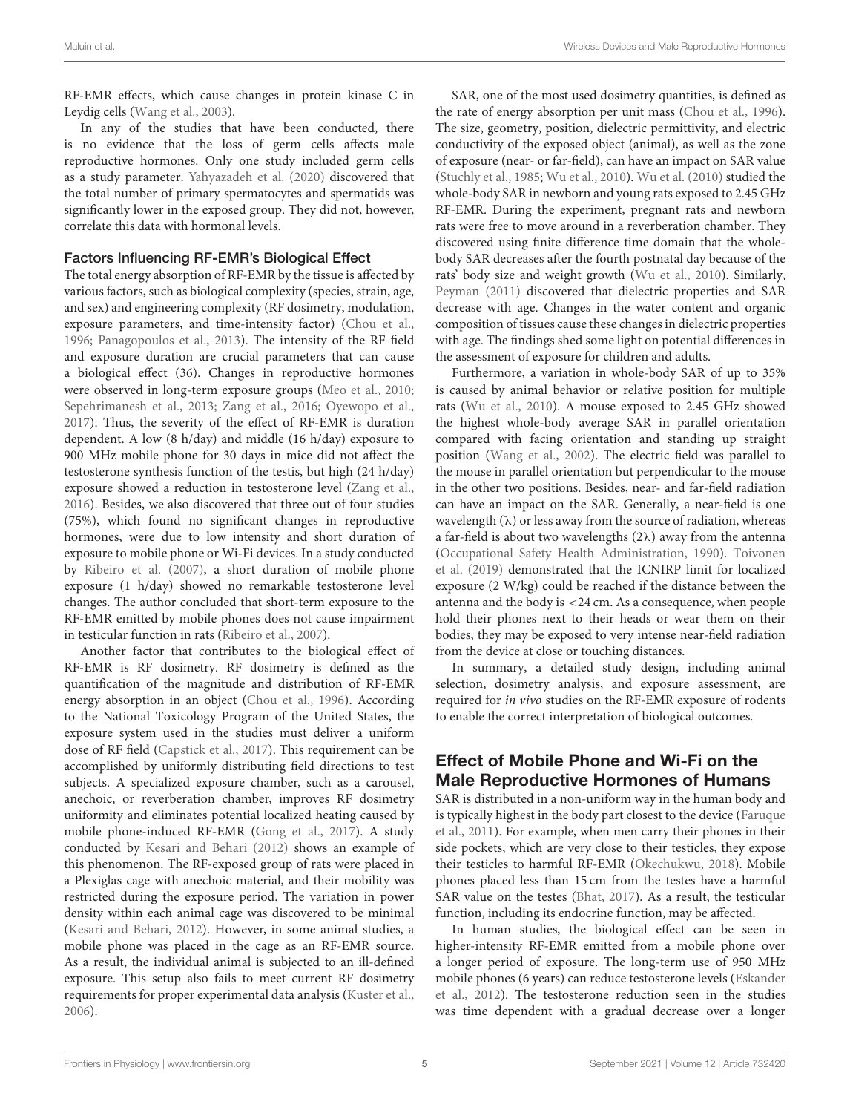RF-EMR effects, which cause changes in protein kinase C in Leydig cells [\(Wang et al., 2003\)](#page-6-26).

In any of the studies that have been conducted, there is no evidence that the loss of germ cells affects male reproductive hormones. Only one study included germ cells as a study parameter. [Yahyazadeh et al. \(2020\)](#page-6-17) discovered that the total number of primary spermatocytes and spermatids was significantly lower in the exposed group. They did not, however, correlate this data with hormonal levels.

#### Factors Influencing RF-EMR's Biological Effect

The total energy absorption of RF-EMR by the tissue is affected by various factors, such as biological complexity (species, strain, age, and sex) and engineering complexity (RF dosimetry, modulation, exposure parameters, and time-intensity factor) [\(Chou et al.,](#page-5-10) [1996;](#page-5-10) [Panagopoulos et al., 2013\)](#page-6-27). The intensity of the RF field and exposure duration are crucial parameters that can cause a biological effect (36). Changes in reproductive hormones were observed in long-term exposure groups [\(Meo et al., 2010;](#page-6-12) [Sepehrimanesh et al., 2013;](#page-6-15) [Zang et al., 2016;](#page-6-16) [Oyewopo et al.,](#page-6-18) [2017\)](#page-6-18). Thus, the severity of the effect of RF-EMR is duration dependent. A low (8 h/day) and middle (16 h/day) exposure to 900 MHz mobile phone for 30 days in mice did not affect the testosterone synthesis function of the testis, but high (24 h/day) exposure showed a reduction in testosterone level [\(Zang et al.,](#page-6-16) [2016\)](#page-6-16). Besides, we also discovered that three out of four studies (75%), which found no significant changes in reproductive hormones, were due to low intensity and short duration of exposure to mobile phone or Wi-Fi devices. In a study conducted by [Ribeiro et al. \(2007\)](#page-6-11), a short duration of mobile phone exposure (1 h/day) showed no remarkable testosterone level changes. The author concluded that short-term exposure to the RF-EMR emitted by mobile phones does not cause impairment in testicular function in rats [\(Ribeiro et al., 2007\)](#page-6-11).

Another factor that contributes to the biological effect of RF-EMR is RF dosimetry. RF dosimetry is defined as the quantification of the magnitude and distribution of RF-EMR energy absorption in an object [\(Chou et al., 1996\)](#page-5-10). According to the National Toxicology Program of the United States, the exposure system used in the studies must deliver a uniform dose of RF field [\(Capstick et al., 2017\)](#page-5-11). This requirement can be accomplished by uniformly distributing field directions to test subjects. A specialized exposure chamber, such as a carousel, anechoic, or reverberation chamber, improves RF dosimetry uniformity and eliminates potential localized heating caused by mobile phone-induced RF-EMR [\(Gong et al., 2017\)](#page-6-28). A study conducted by [Kesari and Behari \(2012\)](#page-6-13) shows an example of this phenomenon. The RF-exposed group of rats were placed in a Plexiglas cage with anechoic material, and their mobility was restricted during the exposure period. The variation in power density within each animal cage was discovered to be minimal [\(Kesari and Behari, 2012\)](#page-6-13). However, in some animal studies, a mobile phone was placed in the cage as an RF-EMR source. As a result, the individual animal is subjected to an ill-defined exposure. This setup also fails to meet current RF dosimetry requirements for proper experimental data analysis [\(Kuster et al.,](#page-6-29) [2006\)](#page-6-29).

SAR, one of the most used dosimetry quantities, is defined as the rate of energy absorption per unit mass [\(Chou et al., 1996\)](#page-5-10). The size, geometry, position, dielectric permittivity, and electric conductivity of the exposed object (animal), as well as the zone of exposure (near- or far-field), can have an impact on SAR value [\(Stuchly et al., 1985;](#page-6-30) [Wu et al., 2010\)](#page-6-31). [Wu et al. \(2010\)](#page-6-31) studied the whole-body SAR in newborn and young rats exposed to 2.45 GHz RF-EMR. During the experiment, pregnant rats and newborn rats were free to move around in a reverberation chamber. They discovered using finite difference time domain that the wholebody SAR decreases after the fourth postnatal day because of the rats' body size and weight growth [\(Wu et al., 2010\)](#page-6-31). Similarly, [Peyman \(2011\)](#page-6-32) discovered that dielectric properties and SAR decrease with age. Changes in the water content and organic composition of tissues cause these changes in dielectric properties with age. The findings shed some light on potential differences in the assessment of exposure for children and adults.

Furthermore, a variation in whole-body SAR of up to 35% is caused by animal behavior or relative position for multiple rats [\(Wu et al., 2010\)](#page-6-31). A mouse exposed to 2.45 GHz showed the highest whole-body average SAR in parallel orientation compared with facing orientation and standing up straight position [\(Wang et al., 2002\)](#page-6-33). The electric field was parallel to the mouse in parallel orientation but perpendicular to the mouse in the other two positions. Besides, near- and far-field radiation can have an impact on the SAR. Generally, a near-field is one wavelength  $(\lambda)$  or less away from the source of radiation, whereas a far-field is about two wavelengths  $(2\lambda)$  away from the antenna [\(Occupational Safety Health Administration, 1990\)](#page-6-34). Toivonen et al. [\(2019\)](#page-6-35) demonstrated that the ICNIRP limit for localized exposure (2 W/kg) could be reached if the distance between the antenna and the body is <24 cm. As a consequence, when people hold their phones next to their heads or wear them on their bodies, they may be exposed to very intense near-field radiation from the device at close or touching distances.

In summary, a detailed study design, including animal selection, dosimetry analysis, and exposure assessment, are required for in vivo studies on the RF-EMR exposure of rodents to enable the correct interpretation of biological outcomes.

# Effect of Mobile Phone and Wi-Fi on the Male Reproductive Hormones of Humans

SAR is distributed in a non-uniform way in the human body and is typically highest in the body part closest to the device (Faruque et al., [2011\)](#page-5-12). For example, when men carry their phones in their side pockets, which are very close to their testicles, they expose their testicles to harmful RF-EMR [\(Okechukwu, 2018\)](#page-6-36). Mobile phones placed less than 15 cm from the testes have a harmful SAR value on the testes [\(Bhat, 2017\)](#page-5-13). As a result, the testicular function, including its endocrine function, may be affected.

In human studies, the biological effect can be seen in higher-intensity RF-EMR emitted from a mobile phone over a longer period of exposure. The long-term use of 950 MHz mobile phones (6 years) can reduce testosterone levels (Eskander et al., [2012\)](#page-5-8). The testosterone reduction seen in the studies was time dependent with a gradual decrease over a longer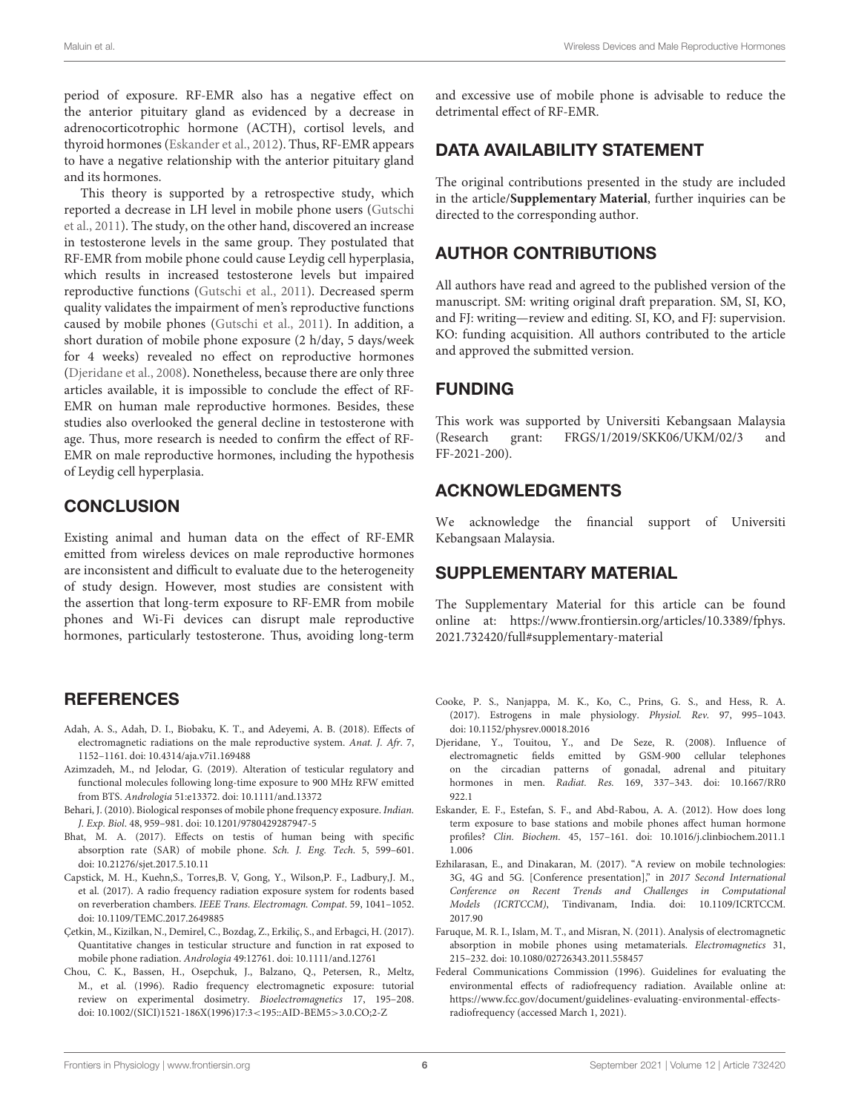period of exposure. RF-EMR also has a negative effect on the anterior pituitary gland as evidenced by a decrease in adrenocorticotrophic hormone (ACTH), cortisol levels, and thyroid hormones [\(Eskander et al., 2012\)](#page-5-8). Thus, RF-EMR appears to have a negative relationship with the anterior pituitary gland and its hormones.

This theory is supported by a retrospective study, which reported a decrease in LH level in mobile phone users (Gutschi et al., [2011\)](#page-6-23). The study, on the other hand, discovered an increase in testosterone levels in the same group. They postulated that RF-EMR from mobile phone could cause Leydig cell hyperplasia, which results in increased testosterone levels but impaired reproductive functions [\(Gutschi et al., 2011\)](#page-6-23). Decreased sperm quality validates the impairment of men's reproductive functions caused by mobile phones [\(Gutschi et al., 2011\)](#page-6-23). In addition, a short duration of mobile phone exposure (2 h/day, 5 days/week for 4 weeks) revealed no effect on reproductive hormones [\(Djeridane et al., 2008\)](#page-5-7). Nonetheless, because there are only three articles available, it is impossible to conclude the effect of RF-EMR on human male reproductive hormones. Besides, these studies also overlooked the general decline in testosterone with age. Thus, more research is needed to confirm the effect of RF-EMR on male reproductive hormones, including the hypothesis of Leydig cell hyperplasia.

### **CONCLUSION**

Existing animal and human data on the effect of RF-EMR emitted from wireless devices on male reproductive hormones are inconsistent and difficult to evaluate due to the heterogeneity of study design. However, most studies are consistent with the assertion that long-term exposure to RF-EMR from mobile phones and Wi-Fi devices can disrupt male reproductive hormones, particularly testosterone. Thus, avoiding long-term

### **REFERENCES**

- <span id="page-5-3"></span>Adah, A. S., Adah, D. I., Biobaku, K. T., and Adeyemi, A. B. (2018). Effects of electromagnetic radiations on the male reproductive system. Anat. J. Afr. 7, 1152–1161. doi: [10.4314/aja.v7i1.169488](https://doi.org/10.4314/aja.v7i1.169488)
- <span id="page-5-6"></span>Azimzadeh, M., nd Jelodar, G. (2019). Alteration of testicular regulatory and functional molecules following long-time exposure to 900 MHz RFW emitted from BTS. Andrologia 51:e13372. doi: [10.1111/and.13372](https://doi.org/10.1111/and.13372)
- <span id="page-5-2"></span>Behari, J. (2010). Biological responses of mobile phone frequency exposure. Indian. J. Exp. Biol. 48, 959–981. doi: [10.1201/9780429287947-5](https://doi.org/10.1201/9780429287947-5)
- <span id="page-5-13"></span>Bhat, M. A. (2017). Effects on testis of human being with specific absorption rate (SAR) of mobile phone. Sch. J. Eng. Tech. 5, 599–601. doi: [10.21276/sjet.2017.5.10.11](https://doi.org/10.21276/sjet.2017.5.10.11)
- <span id="page-5-11"></span>Capstick, M. H., Kuehn,S., Torres,B. V, Gong, Y., Wilson,P. F., Ladbury,J. M., et al. (2017). A radio frequency radiation exposure system for rodents based on reverberation chambers. IEEE Trans. Electromagn. Compat. 59, 1041–1052. doi: [10.1109/TEMC.2017.2649885](https://doi.org/10.1109/TEMC.2017.2649885)
- <span id="page-5-5"></span>Çetkin, M., Kizilkan, N., Demirel, C., Bozdag, Z., Erkiliç, S., and Erbagci, H. (2017). Quantitative changes in testicular structure and function in rat exposed to mobile phone radiation. Andrologia 49:12761. doi: [10.1111/and.12761](https://doi.org/10.1111/and.12761)
- <span id="page-5-10"></span>Chou, C. K., Bassen, H., Osepchuk, J., Balzano, Q., Petersen, R., Meltz, M., et al. (1996). Radio frequency electromagnetic exposure: tutorial review on experimental dosimetry. Bioelectromagnetics 17, 195–208. doi: [10.1002/\(SICI\)1521-186X\(1996\)17:3](https://doi.org/10.1002/(SICI)1521-186X(1996)17:3$<$195::AID-BEM5$>$3.0.CO)<195::AID-BEM5>3.0.CO;2-Z

and excessive use of mobile phone is advisable to reduce the detrimental effect of RF-EMR.

# DATA AVAILABILITY STATEMENT

The original contributions presented in the study are included in the article/**[Supplementary Material](#page-5-4)**, further inquiries can be directed to the corresponding author.

# AUTHOR CONTRIBUTIONS

All authors have read and agreed to the published version of the manuscript. SM: writing original draft preparation. SM, SI, KO, and FJ: writing—review and editing. SI, KO, and FJ: supervision. KO: funding acquisition. All authors contributed to the article and approved the submitted version.

# FUNDING

This work was supported by Universiti Kebangsaan Malaysia (Research grant: FRGS/1/2019/SKK06/UKM/02/3 and FF-2021-200).

### ACKNOWLEDGMENTS

We acknowledge the financial support of Universiti Kebangsaan Malaysia.

# SUPPLEMENTARY MATERIAL

<span id="page-5-4"></span>The Supplementary Material for this article can be found [online at: https://www.frontiersin.org/articles/10.3389/fphys.](https://www.frontiersin.org/articles/10.3389/fphys.2021.732420/full#supplementary-material) 2021.732420/full#supplementary-material

- <span id="page-5-9"></span>Cooke, P. S., Nanjappa, M. K., Ko, C., Prins, G. S., and Hess, R. A. (2017). Estrogens in male physiology. Physiol. Rev. 97, 995–1043. doi: [10.1152/physrev.00018.2016](https://doi.org/10.1152/physrev.00018.2016)
- <span id="page-5-7"></span>Djeridane, Y., Touitou, Y., and De Seze, R. (2008). Influence of electromagnetic fields emitted by GSM-900 cellular telephones on the circadian patterns of gonadal, adrenal and pituitary hormones in men. Radiat. Res. [169, 337–343. doi: 10.1667/RR0](https://doi.org/10.1667/RR0922.1) 922.1
- <span id="page-5-8"></span>Eskander, E. F., Estefan, S. F., and Abd-Rabou, A. A. (2012). How does long term exposure to base stations and mobile phones affect human hormone profiles? Clin. Biochem[. 45, 157–161. doi: 10.1016/j.clinbiochem.2011.1](https://doi.org/10.1016/j.clinbiochem.2011.11.006) 1.006
- <span id="page-5-0"></span>Ezhilarasan, E., and Dinakaran, M. (2017). "A review on mobile technologies: 3G, 4G and 5G. [Conference presentation]," in 2017 Second International Conference on Recent Trends and Challenges in Computational Models (ICRTCCM)[, Tindivanam, India. doi: 10.1109/ICRTCCM.](https://doi.org/10.1109/ICRTCCM.2017.90) 2017.90
- <span id="page-5-12"></span>Faruque, M. R. I., Islam, M. T., and Misran, N. (2011). Analysis of electromagnetic absorption in mobile phones using metamaterials. Electromagnetics 31, 215–232. doi: [10.1080/02726343.2011.558457](https://doi.org/10.1080/02726343.2011.558457)
- <span id="page-5-1"></span>Federal Communications Commission (1996). Guidelines for evaluating the environmental effects of radiofrequency radiation. Available online at: [https://www.fcc.gov/document/guidelines-evaluating-environmental-effects](https://www.fcc.gov/document/guidelines-evaluating-environmental-effects-radiofrequency)[radiofrequency](https://www.fcc.gov/document/guidelines-evaluating-environmental-effects-radiofrequency) (accessed March 1, 2021).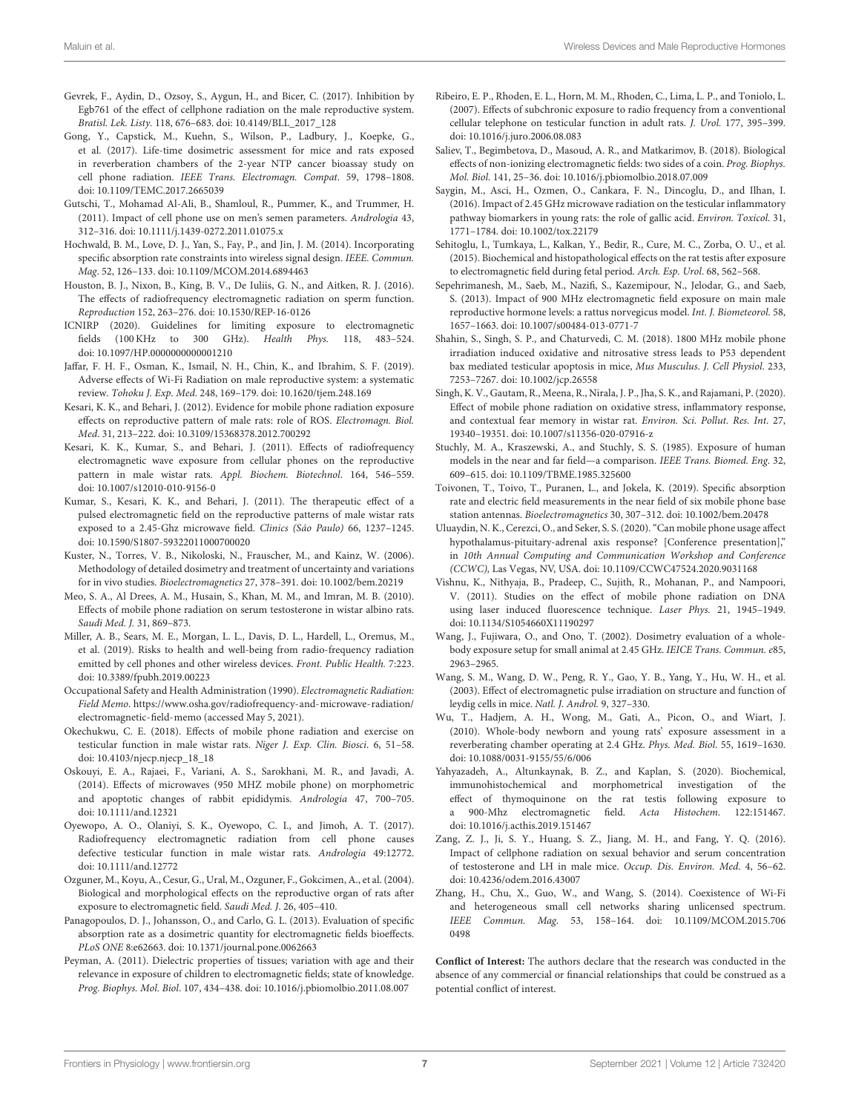- <span id="page-6-20"></span>Gevrek, F., Aydin, D., Ozsoy, S., Aygun, H., and Bicer, C. (2017). Inhibition by Egb761 of the effect of cellphone radiation on the male reproductive system. Bratisl. Lek. Listy. 118, 676–683. doi: [10.4149/BLL\\_2017\\_128](https://doi.org/10.4149/BLL_2017_128)
- <span id="page-6-28"></span>Gong, Y., Capstick, M., Kuehn, S., Wilson, P., Ladbury, J., Koepke, G., et al. (2017). Life-time dosimetric assessment for mice and rats exposed in reverberation chambers of the 2-year NTP cancer bioassay study on cell phone radiation. IEEE Trans. Electromagn. Compat. 59, 1798–1808. doi: [10.1109/TEMC.2017.2665039](https://doi.org/10.1109/TEMC.2017.2665039)
- <span id="page-6-23"></span>Gutschi, T., Mohamad Al-Ali, B., Shamloul, R., Pummer, K., and Trummer, H. (2011). Impact of cell phone use on men's semen parameters. Andrologia 43, 312–316. doi: [10.1111/j.1439-0272.2011.01075.x](https://doi.org/10.1111/j.1439-0272.2011.01075.x)
- <span id="page-6-3"></span>Hochwald, B. M., Love, D. J., Yan, S., Fay, P., and Jin, J. M. (2014). Incorporating specific absorption rate constraints into wireless signal design. IEEE. Commun. Mag. 52, 126–133. doi: [10.1109/MCOM.2014.6894463](https://doi.org/10.1109/MCOM.2014.6894463)
- <span id="page-6-5"></span>Houston, B. J., Nixon, B., King, B. V., De Iuliis, G. N., and Aitken, R. J. (2016). The effects of radiofrequency electromagnetic radiation on sperm function. Reproduction 152, 263–276. doi: [10.1530/REP-16-0126](https://doi.org/10.1530/REP-16-0126)
- <span id="page-6-4"></span>ICNIRP (2020). Guidelines for limiting exposure to electromagnetic fields (100 KHz to 300 GHz). Health Phys. 118, 483–524. doi: [10.1097/HP.0000000000001210](https://doi.org/10.1097/HP.0000000000001210)
- <span id="page-6-6"></span>Jaffar, F. H. F., Osman, K., Ismail, N. H., Chin, K., and Ibrahim, S. F. (2019). Adverse effects of Wi-Fi Radiation on male reproductive system: a systematic review. Tohoku J. Exp. Med. 248, 169–179. doi: [10.1620/tjem.248.169](https://doi.org/10.1620/tjem.248.169)
- <span id="page-6-13"></span>Kesari, K. K., and Behari, J. (2012). Evidence for mobile phone radiation exposure effects on reproductive pattern of male rats: role of ROS. Electromagn. Biol. Med. 31, 213–222. doi: [10.3109/15368378.2012.700292](https://doi.org/10.3109/15368378.2012.700292)
- <span id="page-6-8"></span>Kesari, K. K., Kumar, S., and Behari, J. (2011). Effects of radiofrequency electromagnetic wave exposure from cellular phones on the reproductive pattern in male wistar rats. Appl. Biochem. Biotechnol. 164, 546–559. doi: [10.1007/s12010-010-9156-0](https://doi.org/10.1007/s12010-010-9156-0)
- <span id="page-6-22"></span>Kumar, S., Kesari, K. K., and Behari, J. (2011). The therapeutic effect of a pulsed electromagnetic field on the reproductive patterns of male wistar rats exposed to a 2.45-Ghz microwave field. Clinics (Sáo Paulo) 66, 1237–1245. doi: [10.1590/S1807-59322011000700020](https://doi.org/10.1590/S1807-59322011000700020)
- <span id="page-6-29"></span>Kuster, N., Torres, V. B., Nikoloski, N., Frauscher, M., and Kainz, W. (2006). Methodology of detailed dosimetry and treatment of uncertainty and variations for in vivo studies. Bioelectromagnetics 27, 378–391. doi: [10.1002/bem.20219](https://doi.org/10.1002/bem.20219)
- <span id="page-6-12"></span>Meo, S. A., Al Drees, A. M., Husain, S., Khan, M. M., and Imran, M. B. (2010). Effects of mobile phone radiation on serum testosterone in wistar albino rats. Saudi Med. J. 31, 869–873.
- <span id="page-6-0"></span>Miller, A. B., Sears, M. E., Morgan, L. L., Davis, D. L., Hardell, L., Oremus, M., et al. (2019). Risks to health and well-being from radio-frequency radiation emitted by cell phones and other wireless devices. Front. Public Health. 7:223. doi: [10.3389/fpubh.2019.00223](https://doi.org/10.3389/fpubh.2019.00223)
- <span id="page-6-34"></span>Occupational Safety and Health Administration (1990). Electromagnetic Radiation: Field Memo. [https://www.osha.gov/radiofrequency-and-microwave-radiation/](https://www.osha.gov/radiofrequency-and-microwave-radiation/electromagnetic-field-memo) [electromagnetic-field-memo](https://www.osha.gov/radiofrequency-and-microwave-radiation/electromagnetic-field-memo) (accessed May 5, 2021).
- <span id="page-6-36"></span>Okechukwu, C. E. (2018). Effects of mobile phone radiation and exercise on testicular function in male wistar rats. Niger J. Exp. Clin. Biosci. 6, 51–58. doi: [10.4103/njecp.njecp\\_18\\_18](https://doi.org/10.4103/njecp.njecp_18_18)
- <span id="page-6-19"></span>Oskouyi, E. A., Rajaei, F., Variani, A. S., Sarokhani, M. R., and Javadi, A. (2014). Effects of microwaves (950 MHZ mobile phone) on morphometric and apoptotic changes of rabbit epididymis. Andrologia 47, 700–705. doi: [10.1111/and.12321](https://doi.org/10.1111/and.12321)
- <span id="page-6-18"></span>Oyewopo, A. O., Olaniyi, S. K., Oyewopo, C. I., and Jimoh, A. T. (2017). Radiofrequency electromagnetic radiation from cell phone causes defective testicular function in male wistar rats. Andrologia 49:12772. doi: [10.1111/and.12772](https://doi.org/10.1111/and.12772)
- <span id="page-6-14"></span>Ozguner, M., Koyu, A., Cesur, G., Ural, M., Ozguner, F., Gokcimen, A., et al. (2004). Biological and morphological effects on the reproductive organ of rats after exposure to electromagnetic field. Saudi Med. J. 26, 405–410.
- <span id="page-6-27"></span>Panagopoulos, D. J., Johansson, O., and Carlo, G. L. (2013). Evaluation of specific absorption rate as a dosimetric quantity for electromagnetic fields bioeffects. PLoS ONE 8:e62663. doi: [10.1371/journal.pone.0062663](https://doi.org/10.1371/journal.pone.0062663)
- <span id="page-6-32"></span>Peyman, A. (2011). Dielectric properties of tissues; variation with age and their relevance in exposure of children to electromagnetic fields; state of knowledge. Prog. Biophys. Mol. Biol. 107, 434–438. doi: [10.1016/j.pbiomolbio.2011.08.007](https://doi.org/10.1016/j.pbiomolbio.2011.08.007)
- <span id="page-6-11"></span>Ribeiro, E. P., Rhoden, E. L., Horn, M. M., Rhoden, C., Lima, L. P., and Toniolo, L. (2007). Effects of subchronic exposure to radio frequency from a conventional cellular telephone on testicular function in adult rats. J. Urol. 177, 395–399. doi: [10.1016/j.juro.2006.08.083](https://doi.org/10.1016/j.juro.2006.08.083)
- <span id="page-6-7"></span>Saliev, T., Begimbetova, D., Masoud, A. R., and Matkarimov, B. (2018). Biological effects of non-ionizing electromagnetic fields: two sides of a coin. Prog. Biophys. Mol. Biol. 141, 25–36. doi: [10.1016/j.pbiomolbio.2018.07.009](https://doi.org/10.1016/j.pbiomolbio.2018.07.009)
- <span id="page-6-21"></span>Saygin, M., Asci, H., Ozmen, O., Cankara, F. N., Dincoglu, D., and Ilhan, I. (2016). Impact of 2.45 GHz microwave radiation on the testicular inflammatory pathway biomarkers in young rats: the role of gallic acid. Environ. Toxicol. 31, 1771–1784. doi: [10.1002/tox.22179](https://doi.org/10.1002/tox.22179)
- <span id="page-6-9"></span>Sehitoglu, I., Tumkaya, L., Kalkan, Y., Bedir, R., Cure, M. C., Zorba, O. U., et al. (2015). Biochemical and histopathological effects on the rat testis after exposure to electromagnetic field during fetal period. Arch. Esp. Urol. 68, 562–568.
- <span id="page-6-15"></span>Sepehrimanesh, M., Saeb, M., Nazifi, S., Kazemipour, N., Jelodar, G., and Saeb, S. (2013). Impact of 900 MHz electromagnetic field exposure on main male reproductive hormone levels: a rattus norvegicus model. Int. J. Biometeorol. 58, 1657–1663. doi: [10.1007/s00484-013-0771-7](https://doi.org/10.1007/s00484-013-0771-7)
- <span id="page-6-10"></span>Shahin, S., Singh, S. P., and Chaturvedi, C. M. (2018). 1800 MHz mobile phone irradiation induced oxidative and nitrosative stress leads to P53 dependent bax mediated testicular apoptosis in mice, Mus Musculus. J. Cell Physiol. 233, 7253–7267. doi: [10.1002/jcp.26558](https://doi.org/10.1002/jcp.26558)
- <span id="page-6-25"></span>Singh, K. V., Gautam, R., Meena, R., Nirala, J. P., Jha, S. K., and Rajamani, P. (2020). Effect of mobile phone radiation on oxidative stress, inflammatory response, and contextual fear memory in wistar rat. Environ. Sci. Pollut. Res. Int. 27, 19340–19351. doi: [10.1007/s11356-020-07916-z](https://doi.org/10.1007/s11356-020-07916-z)
- <span id="page-6-30"></span>Stuchly, M. A., Kraszewski, A., and Stuchly, S. S. (1985). Exposure of human models in the near and far field—a comparison. IEEE Trans. Biomed. Eng. 32, 609–615. doi: [10.1109/TBME.1985.325600](https://doi.org/10.1109/TBME.1985.325600)
- <span id="page-6-35"></span>Toivonen, T., Toivo, T., Puranen, L., and Jokela, K. (2019). Specific absorption rate and electric field measurements in the near field of six mobile phone base station antennas. Bioelectromagnetics 30, 307–312. doi: [10.1002/bem.20478](https://doi.org/10.1002/bem.20478)
- <span id="page-6-24"></span>Uluaydin, N. K., Cerezci, O., and Seker, S. S. (2020). "Can mobile phone usage affect hypothalamus-pituitary-adrenal axis response? [Conference presentation]," in 10th Annual Computing and Communication Workshop and Conference (CCWC), Las Vegas, NV, USA. doi: [10.1109/CCWC47524.2020.9031168](https://doi.org/10.1109/CCWC47524.2020.9031168)
- <span id="page-6-1"></span>Vishnu, K., Nithyaja, B., Pradeep, C., Sujith, R., Mohanan, P., and Nampoori, V. (2011). Studies on the effect of mobile phone radiation on DNA using laser induced fluorescence technique. Laser Phys. 21, 1945–1949. doi: [10.1134/S1054660X11190297](https://doi.org/10.1134/S1054660X11190297)
- <span id="page-6-33"></span>Wang, J., Fujiwara, O., and Ono, T. (2002). Dosimetry evaluation of a wholebody exposure setup for small animal at 2.45 GHz. IEICE Trans. Commun. e85, 2963–2965.
- <span id="page-6-26"></span>Wang, S. M., Wang, D. W., Peng, R. Y., Gao, Y. B., Yang, Y., Hu, W. H., et al. (2003). Effect of electromagnetic pulse irradiation on structure and function of leydig cells in mice. Natl. J. Androl. 9, 327–330.
- <span id="page-6-31"></span>Wu, T., Hadjem, A. H., Wong, M., Gati, A., Picon, O., and Wiart, J. (2010). Whole-body newborn and young rats' exposure assessment in a reverberating chamber operating at 2.4 GHz. Phys. Med. Biol. 55, 1619–1630. doi: [10.1088/0031-9155/55/6/006](https://doi.org/10.1088/0031-9155/55/6/006)
- <span id="page-6-17"></span>Yahyazadeh, A., Altunkaynak, B. Z., and Kaplan, S. (2020). Biochemical, immunohistochemical and morphometrical investigation of the effect of thymoquinone on the rat testis following exposure to a 900-Mhz electromagnetic field. Acta Histochem. 122:151467. doi: [10.1016/j.acthis.2019.151467](https://doi.org/10.1016/j.acthis.2019.151467)
- <span id="page-6-16"></span>Zang, Z. J., Ji, S. Y., Huang, S. Z., Jiang, M. H., and Fang, Y. Q. (2016). Impact of cellphone radiation on sexual behavior and serum concentration of testosterone and LH in male mice. Occup. Dis. Environ. Med. 4, 56–62. doi: [10.4236/odem.2016.43007](https://doi.org/10.4236/odem.2016.43007)
- <span id="page-6-2"></span>Zhang, H., Chu, X., Guo, W., and Wang, S. (2014). Coexistence of Wi-Fi and heterogeneous small cell networks sharing unlicensed spectrum. IEEE Commun. Mag[. 53, 158–164. doi: 10.1109/MCOM.2015.706](https://doi.org/10.1109/MCOM.2015.7060498) 0498

**Conflict of Interest:** The authors declare that the research was conducted in the absence of any commercial or financial relationships that could be construed as a potential conflict of interest.